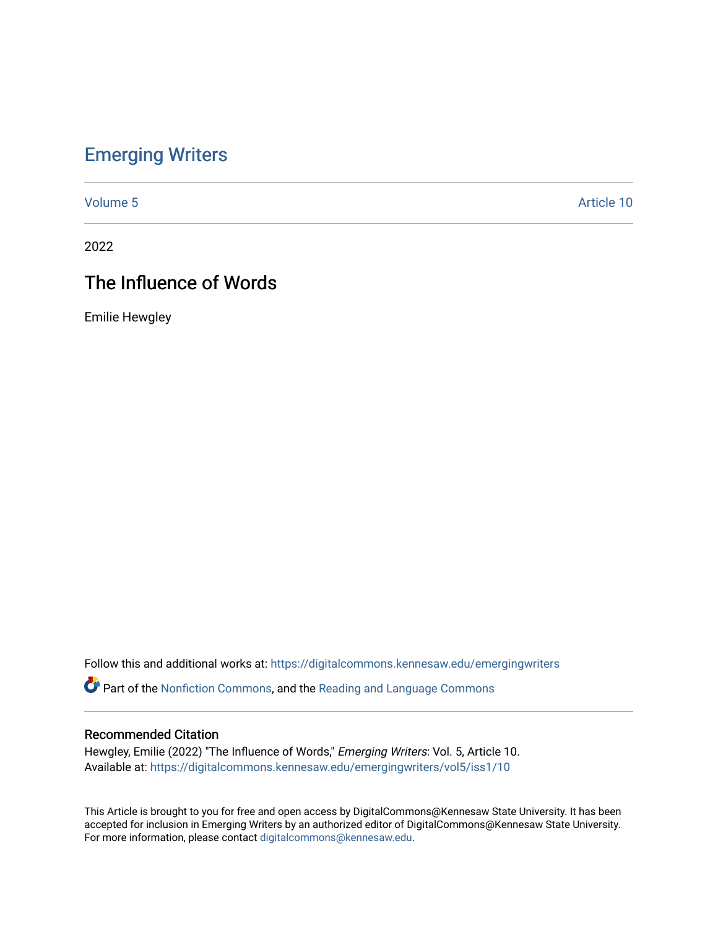## [Emerging Writers](https://digitalcommons.kennesaw.edu/emergingwriters)

[Volume 5](https://digitalcommons.kennesaw.edu/emergingwriters/vol5) Article 10

2022

## The Influence of Words

Emilie Hewgley

Follow this and additional works at: [https://digitalcommons.kennesaw.edu/emergingwriters](https://digitalcommons.kennesaw.edu/emergingwriters?utm_source=digitalcommons.kennesaw.edu%2Femergingwriters%2Fvol5%2Fiss1%2F10&utm_medium=PDF&utm_campaign=PDFCoverPages) 

**Part of the [Nonfiction Commons,](http://network.bepress.com/hgg/discipline/1152?utm_source=digitalcommons.kennesaw.edu%2Femergingwriters%2Fvol5%2Fiss1%2F10&utm_medium=PDF&utm_campaign=PDFCoverPages) and the Reading and Language Commons** 

## Recommended Citation

Hewgley, Emilie (2022) "The Influence of Words," Emerging Writers: Vol. 5, Article 10. Available at: [https://digitalcommons.kennesaw.edu/emergingwriters/vol5/iss1/10](https://digitalcommons.kennesaw.edu/emergingwriters/vol5/iss1/10?utm_source=digitalcommons.kennesaw.edu%2Femergingwriters%2Fvol5%2Fiss1%2F10&utm_medium=PDF&utm_campaign=PDFCoverPages)

This Article is brought to you for free and open access by DigitalCommons@Kennesaw State University. It has been accepted for inclusion in Emerging Writers by an authorized editor of DigitalCommons@Kennesaw State University. For more information, please contact [digitalcommons@kennesaw.edu.](mailto:digitalcommons@kennesaw.edu)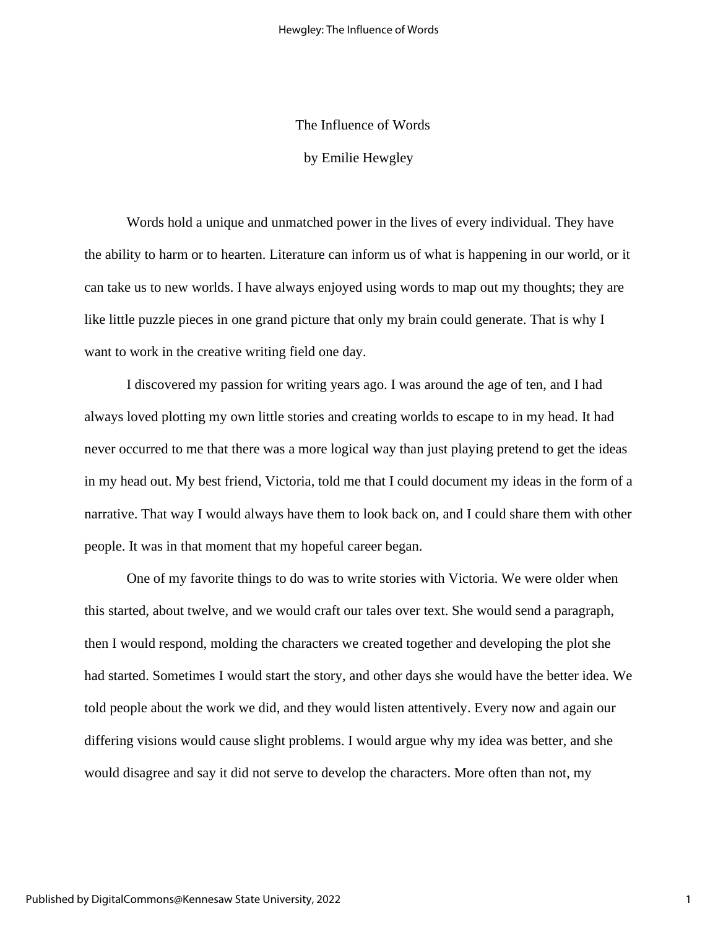The Influence of Words

by Emilie Hewgley

Words hold a unique and unmatched power in the lives of every individual. They have the ability to harm or to hearten. Literature can inform us of what is happening in our world, or it can take us to new worlds. I have always enjoyed using words to map out my thoughts; they are like little puzzle pieces in one grand picture that only my brain could generate. That is why I want to work in the creative writing field one day.

I discovered my passion for writing years ago. I was around the age of ten, and I had always loved plotting my own little stories and creating worlds to escape to in my head. It had never occurred to me that there was a more logical way than just playing pretend to get the ideas in my head out. My best friend, Victoria, told me that I could document my ideas in the form of a narrative. That way I would always have them to look back on, and I could share them with other people. It was in that moment that my hopeful career began.

One of my favorite things to do was to write stories with Victoria. We were older when this started, about twelve, and we would craft our tales over text. She would send a paragraph, then I would respond, molding the characters we created together and developing the plot she had started. Sometimes I would start the story, and other days she would have the better idea. We told people about the work we did, and they would listen attentively. Every now and again our differing visions would cause slight problems. I would argue why my idea was better, and she would disagree and say it did not serve to develop the characters. More often than not, my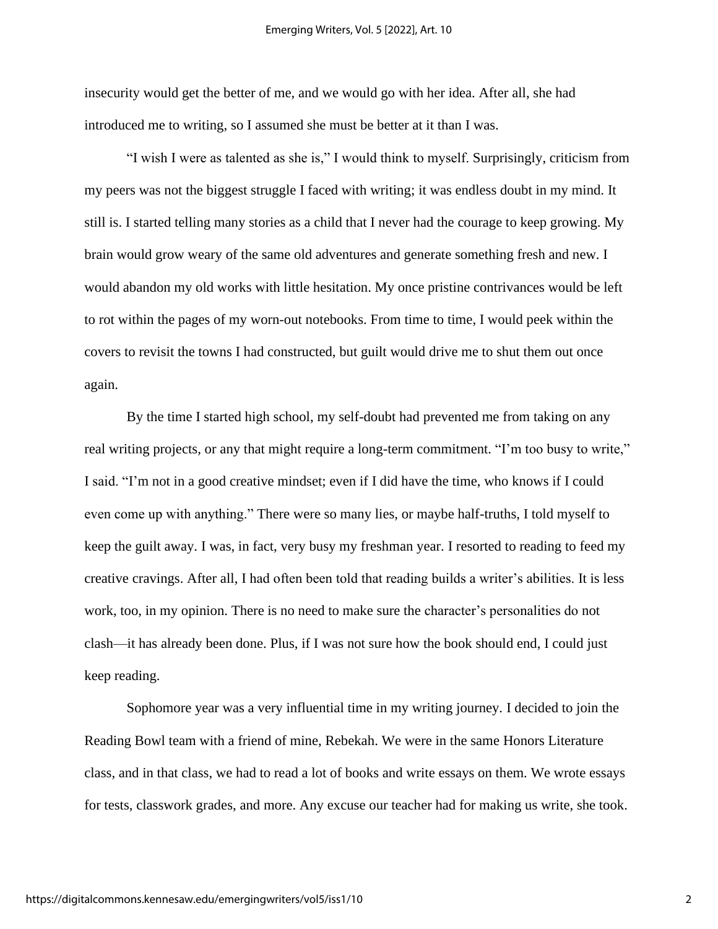insecurity would get the better of me, and we would go with her idea. After all, she had introduced me to writing, so I assumed she must be better at it than I was.

"I wish I were as talented as she is," I would think to myself. Surprisingly, criticism from my peers was not the biggest struggle I faced with writing; it was endless doubt in my mind. It still is. I started telling many stories as a child that I never had the courage to keep growing. My brain would grow weary of the same old adventures and generate something fresh and new. I would abandon my old works with little hesitation. My once pristine contrivances would be left to rot within the pages of my worn-out notebooks. From time to time, I would peek within the covers to revisit the towns I had constructed, but guilt would drive me to shut them out once again.

By the time I started high school, my self-doubt had prevented me from taking on any real writing projects, or any that might require a long-term commitment. "I'm too busy to write," I said. "I'm not in a good creative mindset; even if I did have the time, who knows if I could even come up with anything." There were so many lies, or maybe half-truths, I told myself to keep the guilt away. I was, in fact, very busy my freshman year. I resorted to reading to feed my creative cravings. After all, I had often been told that reading builds a writer's abilities. It is less work, too, in my opinion. There is no need to make sure the character's personalities do not clash—it has already been done. Plus, if I was not sure how the book should end, I could just keep reading.

Sophomore year was a very influential time in my writing journey. I decided to join the Reading Bowl team with a friend of mine, Rebekah. We were in the same Honors Literature class, and in that class, we had to read a lot of books and write essays on them. We wrote essays for tests, classwork grades, and more. Any excuse our teacher had for making us write, she took.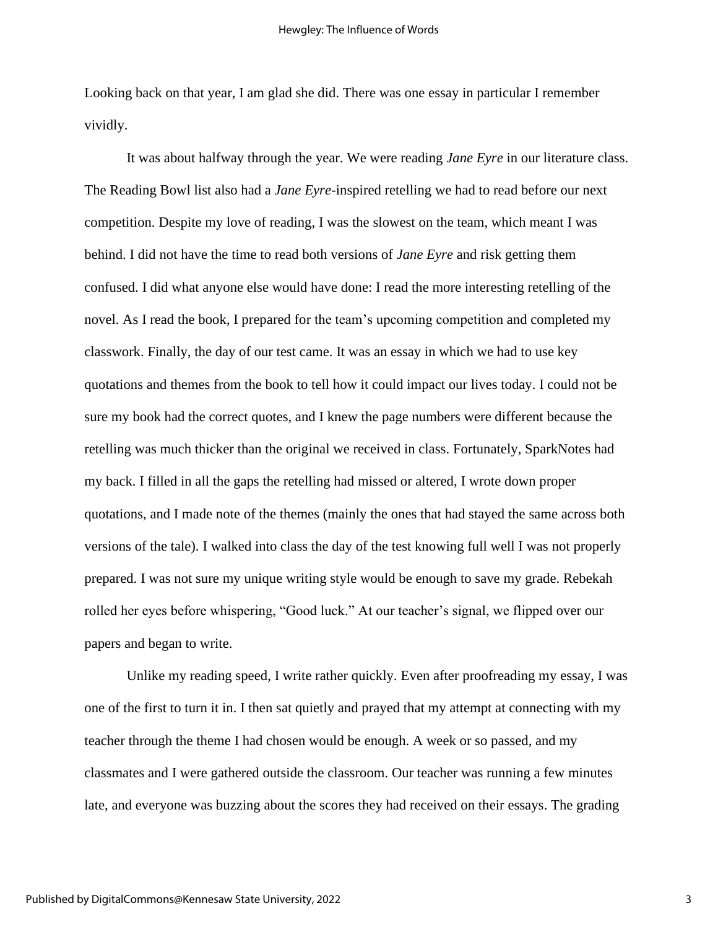Looking back on that year, I am glad she did. There was one essay in particular I remember vividly.

It was about halfway through the year. We were reading *Jane Eyre* in our literature class. The Reading Bowl list also had a *Jane Eyre*-inspired retelling we had to read before our next competition. Despite my love of reading, I was the slowest on the team, which meant I was behind. I did not have the time to read both versions of *Jane Eyre* and risk getting them confused. I did what anyone else would have done: I read the more interesting retelling of the novel. As I read the book, I prepared for the team's upcoming competition and completed my classwork. Finally, the day of our test came. It was an essay in which we had to use key quotations and themes from the book to tell how it could impact our lives today. I could not be sure my book had the correct quotes, and I knew the page numbers were different because the retelling was much thicker than the original we received in class. Fortunately, SparkNotes had my back. I filled in all the gaps the retelling had missed or altered, I wrote down proper quotations, and I made note of the themes (mainly the ones that had stayed the same across both versions of the tale). I walked into class the day of the test knowing full well I was not properly prepared. I was not sure my unique writing style would be enough to save my grade. Rebekah rolled her eyes before whispering, "Good luck." At our teacher's signal, we flipped over our papers and began to write.

Unlike my reading speed, I write rather quickly. Even after proofreading my essay, I was one of the first to turn it in. I then sat quietly and prayed that my attempt at connecting with my teacher through the theme I had chosen would be enough. A week or so passed, and my classmates and I were gathered outside the classroom. Our teacher was running a few minutes late, and everyone was buzzing about the scores they had received on their essays. The grading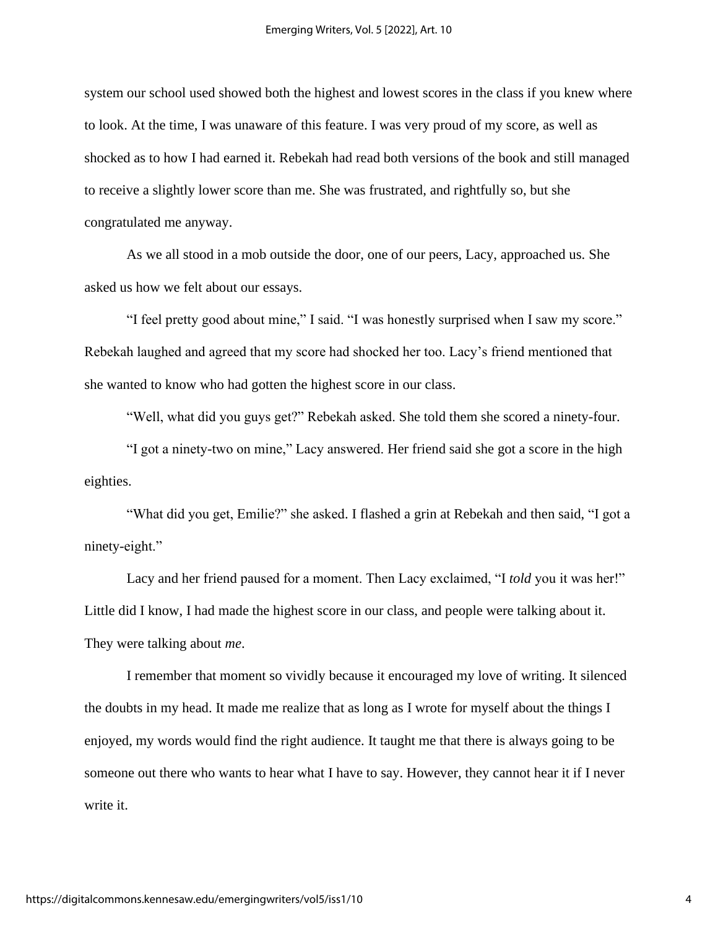system our school used showed both the highest and lowest scores in the class if you knew where to look. At the time, I was unaware of this feature. I was very proud of my score, as well as shocked as to how I had earned it. Rebekah had read both versions of the book and still managed to receive a slightly lower score than me. She was frustrated, and rightfully so, but she congratulated me anyway.

As we all stood in a mob outside the door, one of our peers, Lacy, approached us. She asked us how we felt about our essays.

"I feel pretty good about mine," I said. "I was honestly surprised when I saw my score." Rebekah laughed and agreed that my score had shocked her too. Lacy's friend mentioned that she wanted to know who had gotten the highest score in our class.

"Well, what did you guys get?" Rebekah asked. She told them she scored a ninety-four.

"I got a ninety-two on mine," Lacy answered. Her friend said she got a score in the high eighties.

"What did you get, Emilie?" she asked. I flashed a grin at Rebekah and then said, "I got a ninety-eight."

Lacy and her friend paused for a moment. Then Lacy exclaimed, "I *told* you it was her!" Little did I know, I had made the highest score in our class, and people were talking about it. They were talking about *me*.

I remember that moment so vividly because it encouraged my love of writing. It silenced the doubts in my head. It made me realize that as long as I wrote for myself about the things I enjoyed, my words would find the right audience. It taught me that there is always going to be someone out there who wants to hear what I have to say. However, they cannot hear it if I never write it.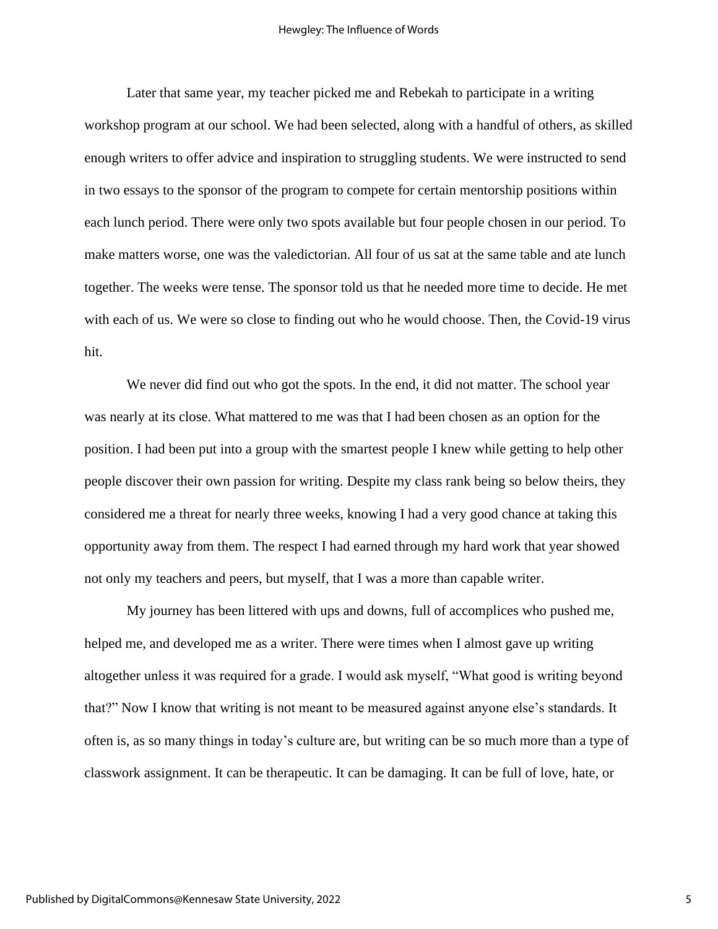Later that same year, my teacher picked me and Rebekah to participate in a writing workshop program at our school. We had been selected, along with a handful of others, as skilled enough writers to offer advice and inspiration to struggling students. We were instructed to send in two essays to the sponsor of the program to compete for certain mentorship positions within each lunch period. There were only two spots available but four people chosen in our period. To make matters worse, one was the valedictorian. All four of us sat at the same table and ate lunch together. The weeks were tense. The sponsor told us that he needed more time to decide. He met with each of us. We were so close to finding out who he would choose. Then, the Covid-19 virus hit.

We never did find out who got the spots. In the end, it did not matter. The school year was nearly at its close. What mattered to me was that I had been chosen as an option for the position. I had been put into a group with the smartest people I knew while getting to help other people discover their own passion for writing. Despite my class rank being so below theirs, they considered me a threat for nearly three weeks, knowing I had a very good chance at taking this opportunity away from them. The respect I had earned through my hard work that year showed not only my teachers and peers, but myself, that I was a more than capable writer.

My journey has been littered with ups and downs, full of accomplices who pushed me, helped me, and developed me as a writer. There were times when I almost gave up writing altogether unless it was required for a grade. I would ask myself, "What good is writing beyond that?" Now I know that writing is not meant to be measured against anyone else's standards. It often is, as so many things in today's culture are, but writing can be so much more than a type of classwork assignment. It can be therapeutic. It can be damaging. It can be full of love, hate, or